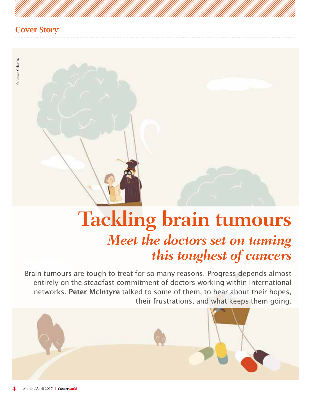# **Tackling brain tumours**  *Meet the doctors set on taming this toughest of cancers*

Brain tumours are tough to treat for so many reasons. Progress depends almost entirely on the steadfast commitment of doctors working within international networks. **Peter McIntyre** talked to some of them, to hear about their hopes, their frustrations, and what keeps them going.

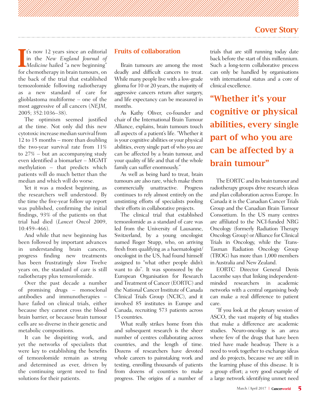**I** t's now 12 years since an editorial<br>in the *New England Journal of*<br>*Medicine* hailed "a new beginning"<br>for shamethermy in huin tumours on **t's** now 12 years since an editorial in the *New England Journal of*  for chemotherapy in brain tumours, on the back of the trial that established temozolomide following radiotherapy as a new standard of care for glioblastoma multiforme – one of the most aggressive of all cancers (*NEJM,* 2005; 352:1036–38).

The optimism seemed justified at the time. Not only did this new cytotoxic increase median survival from 12 to 15 months – more than doubling the two-year survival rate from 11% to 27% – but an accompanying study even identified a biomarker – MGMT methylation – that predicts which patients will do much better than the median and which will do worse.

Yet it was a modest beginning, as the researchers well understood. By the time the five-year follow up report was published, confirming the initial findings, 93% of the patients on that trial had died (*Lancet Oncol* 2009, 10:459–466).

And while that new beginning has been followed by important advances in understanding brain cancers, progress finding new treatments has been frustratingly slow Twelve years on, the standard of care is still radiotherapy plus temozolomide.

Over the past decade a number of promising drugs – monoclonal antibodies and immunotherapies – have failed on clinical trials, either because they cannot cross the blood brain barrier, or because brain tumour cells are so diverse in their genetic and metabolic compositions.

It can be dispiriting work, and yet the networks of specialists that were key to establishing the benefits of temozolomide remain as strong and determined as ever, driven by the continuing urgent need to find solutions for their patients.

#### Fruits of collaboration

Brain tumours are among the most deadly and difficult cancers to treat. While many people live with a low-grade glioma for 10 or 20 years, the majority of aggressive cancers return after surgery, and life expectancy can be measured in months.

As Kathy Oliver, co-founder and chair of the International Brain Tumour Alliance, explains, brain tumours touch all aspects of a patient's life. "Whether it is your cognitive abilities or your physical abilities, every single part of who you are can be affected by a brain tumour, and your quality of life and that of the whole family can suffer enormously."

As well as being hard to treat, brain tumours are also rare, which make them commercially unattractive. Progress continues to rely almost entirely on the unstinting efforts of specialists pooling their efforts in collaborative projects.

The clinical trial that established temozolomide as a standard of care was led from the University of Lausanne, Switzerland, by a young oncologist named Roger Stupp, who, on arriving fresh from qualifying as a haematologist/ oncologist in the US, had found himself assigned to "what other people didn't want to do". It was sponsored by the European Organisation for Research and Treatment of Cancer (EORTC) and the National Cancer Institute of Canada Clinical Trials Group (NCIC), and it involved 85 institutes in Europe and Canada, recruiting 573 patients across 15 countries.

What really strikes home from this and subsequent research is the sheer number of centres collaborating across countries, and the length of time. Dozens of researchers have devoted whole careers to painstaking work and testing, enrolling thousands of patients from dozens of countries to make progress. The origins of a number of trials that are still running today date back before the start of this millennium. Such a long-term collaborative process can only be handled by organisations with international status and a core of clinical excellence.

"Whether it's your cognitive or physical abilities, every single part of who you are can be affected by a brain tumour"

The EORTC and its brain tumour and radiotherapy groups drive research ideas and plan collaboration across Europe. In Canada it is the Canadian Cancer Trials Group and the Canadian Brain Tumour Consortium. In the US many centres are affiliated to the NCI-funded NRG Oncology (formerly Radiation Therapy Oncology Group) or Alliance for Clinical Trials in Oncology, while the Trans-Tasman Radiation Oncology Group (TROG) has more than 1,000 members in Australia and New Zealand.

EORTC Director General Denis Lacombe says that linking independentminded researchers in academic networks with a central organising body can make a real difference to patient care.

"If you look at the plenary session of ASCO, the vast majority of big studies that make a difference are academic studies. Neuro-oncology is an area where few of the drugs that have been tried have made headway. There is a need to work together to exchange ideas and do projects, because we are still in the learning phase of this disease. It is a group effort; a very good example of a large network identifying unmet need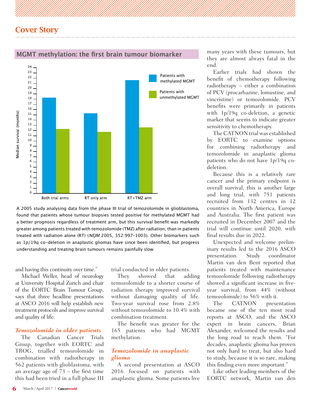

#### **MGMT methylation: the first brain tumour biomarker**

A 2005 study analysing data from the phase III trial of temozolomide in glioblastoma, found that patients whose tumour biopsies tested positive for methylated MGMT had a better prognosis regardless of treatment arm, but this survival benefit was markedly greater among patients treated with temozolomide (TMZ) after radiation, than in patients treated with radiation alone (RT) (NEJM 2005, 352:997-1003). Other biomarkers such as 1p/19q co-deletion in anaplastic gliomas have since been identified, but progress understanding and treating brain tumours remains painfully slow

and having this continuity over time."

Michael Weller, head of neurology at University Hospital Zurich and chair of the EORTC Brain Tumour Group, says that three headline presentations at ASCO 2016 will help establish new treatment protocols and improve survival and quality of life.

#### *Temozolomide in older patients*

The Canadian Cancer Trials Group, together with EORTC and TROG, trialled temozolomide in combination with radiotherapy in 562 patients with glioblastoma, with an average age of  $\overline{73}$  – the first time this had been tried in a full phase III

trial conducted in older patients.

They showed that adding temozolomide to a shorter course of radiation therapy improved survival without damaging quality of life. Two-year survival rose from 2.8% without temozolomide to 10.4% with combination treatment.

The benefit was greater for the 165 patients who had MGMT methylation.

#### *Temozolomide in anaplastic glioma*

A second presentation at ASCO 2016 focused on patients with anaplastic glioma. Some patients live

many years with these tumours, but they are almost always fatal in the end.

Earlier trials had shown the benefit of chemotherapy following radiotherapy – either a combination of PCV (procarbazine, lomustine, and vincristine) or temozolomide. PCV benefits were primarily in patients with 1p/19q co-deletion, a genetic marker that seems to indicate greater sensitivity to chemotherapy.

The CATNON trial was established by EORTC to examine options for combining radiotherapy and temozolomide in anaplastic glioma patients who do not have 1p/19q codeletion.

Because this is a relatively rare cancer and the primary endpoint is overall survival, this is another large and long trial, with 751 patients recruited from 132 centres in 12 countries in North America, Europe and Australia. The first patient was recruited in December 2007 and the trial will continue until 2020, with final results due in 2022.

Unexpected and welcome preliminary results led to the 2016 ASCO presentation. Study coordinator Martin van den Bent reported that patients treated with maintenance temozolomide following radiotherapy showed a significant increase in fiveyear survival, from 44% (without temozolomide) to 56% with it.

The CATNON presentation became one of the ten most read reports at ASCO, and the ASCO expert in brain cancers, Brian Alexander, welcomed the results and the long road to reach them. "For decades, anaplastic glioma has proven not only hard to treat, but also hard to study, because it is so rare, making this finding even more important."

Like other leading members of the EORTC network, Martin van den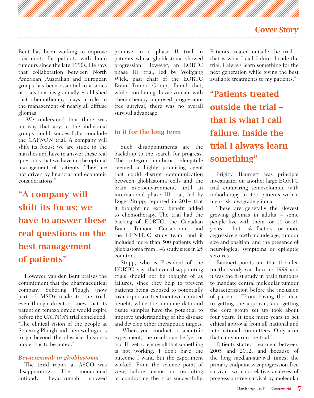Bent has been working to improve treatments for patients with brain tumours since the late 1990s. He says that collaboration between North American, Australian and European groups has been essential to a series of trials that has gradually established that chemotherapy plays a role in the management of nearly all diffuse gliomas.

"We understood that there was no way that any of the individual groups could successfully conclude the CATNON trial. A company will shift its focus; we are stuck in the marshes and have to answer these real questions that we have on the optimal management of patients. They are not driven by financial and economic considerations."

# "A company will shift its focus; we have to answer these real questions on the best management of patients"

However, van den Bent praises the commitment that the pharmaceutical company Schering Plough (now part of MSD) made to the trial, even though directors knew that its patent on temozolomide would expire before the CATNON trial concluded. "The clinical vision of the people at Schering Plough and their willingness to go beyond the classical business model has to be noted."

#### *Bevacizumab in glioblastoma*

The third report at ASCO was disappointing. The monoclonal antibody bevacizumab showed

promise in a phase II trial in patients whose glioblastoma showed progression. However, an EORTC phase III trial, led by Wolfgang Wick, past chair of the EORTC Brain Tumor Group, found that, while combining bevacizumab with chemotherapy improved progressionfree survival, there was no overall survival advantage.

#### In it for the long term

Such disappointments are the backdrop to the search for progress. The integrin inhibitor cilengitide seemed a highly promising agent that could disrupt communication between glioblastoma cells and the brain microenvironment, until an international phase III trial, led by Roger Stupp, reported in 2014 that it brought no extra benefit added to chemotherapy. The trial had the backing of EORTC, the Canadian Brain Tumour Consortium, and the CENTRIC study team, and it included more than 500 patients with glioblastoma from 146 study sites in 25 countries.

Stupp, who is President of the EORTC, says that even disappointing trials should not be thought of as failures, since they help to prevent patients being exposed to potentially toxic expensive treatment with limited benefit, while the outcome data and tissue samples have the potential to improve understanding of the disease and develop other therapeutic targets.

"When you conduct a scientific experiment, the result can be 'yes' or 'no'. If I get a clear result that something is not working, I don't have the outcome I want, but the experiment worked. From the science point of view, failure means not recruiting or conducting the trial successfully.

Patients treated outside the trial – that is what I call failure. Inside the trial, I always learn something for the next generation while giving the best available treatments to my patients."

"Patients treated outside the trial – that is what I call failure. Inside the trial I always learn something"

Brigitta Baumert was principal investigator on another large EORTC trial comparing temozolomide with radiotherapy in 477 patients with a high-risk low-grade glioma.

These are generally the slowest growing gliomas in adults – some people live with them for 10 or 20 years – but risk factors for more aggressive growth include age, tumour size and position, and the presence of neurological symptoms or epileptic seizures.

Baumert points out that the idea for this study was born in 1999 and it was the first study in brain tumours to mandate central molecular tumour characterisation before the inclusion of patients. "From having the idea, to getting the approval, and getting the core group set up took about four years. It took more years to get ethical approval from all national and international committees. Only after that can you run the trial."

Patients started treatment between 2005 and 2012, and because of the long median-survival times, the primary endpoint was progression-free survival. with correlative analyses of progression-free survival by molecular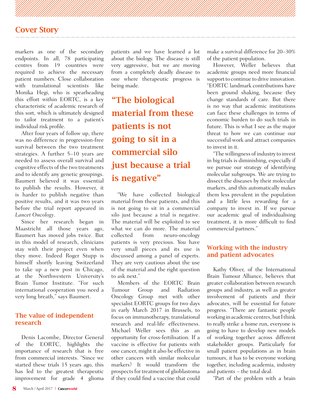markers as one of the secondary endpoints. In all, 78 participating centres from 19 countries were required to achieve the necessary patient numbers. Close collaboration with translational scientists like Monika Hegi, who is spearheading this effort within EORTC, is a key characteristic of academic research of this sort, which is ultimately designed to tailor treatment to a patient's individual risk profile.

After four years of follow up, there was no difference in progression-free survival between the two treatment strategies. A further 5–10 years are needed to assess overall survival and cognitive effects of the two treatments and to identify any genetic groupings. Baumert believed it was essential to publish the results. However, it is harder to publish negative than positive results, and it was two years before the trial report appeared in *Lancet Oncology*.

Since her research began in Maastricht all those years ago, Baumert has moved jobs twice. But in this model of research, clinicians stay with their project even when they move. Indeed Roger Stupp is himself shortly leaving Switzerland to take up a new post in Chicago, at the Northwestern University's Brain Tumor Institute. "For such international cooperation you need a very long breath," says Baumert.

#### The value of independent research

Denis Lacombe, Director General of the EORTC, highlights the importance of research that is free from commercial interests. "Since we started these trials 15 years ago, this has led to the greatest therapeutic improvement for grade 4 glioma

patients and we have learned a lot about the biology. The disease is still very aggressive, but we are moving from a completely deadly disease to one where therapeutic progress is being made.

"The biological material from these patients is not going to sit in a commercial silo just because a trial is negative"

"We have collected biological material from these patients, and this is not going to sit in a commercial silo just because a trial is negative. The material will be exploited to see what we can do more. The material collected from neuro-oncology patients is very precious. You have very small pieces and its use is discussed among a panel of experts. They are very cautious about the use of the material and the right question to ask next."

Members of the EORTC Brain Tumour Group and Radiation Oncology Group met with other specialist EORTC groups for two days in early March 2017 in Brussels, to focus on immunotherapy, translational research and real-life effectiveness. Michael Weller sees this as an opportunity for cross-fertilisation. If a vaccine is effective for patients with one cancer, might it also be effective in other cancers with similar molecular markers? It would transform the prospects for treatment of glioblastoma if they could find a vaccine that could

make a survival difference for 20–30% of the patient population.

However, Weller believes that academic groups need more financial support to continue to drive innovation. "EORTC landmark contributions have been ground shaking, because they change standards of care. But there is no way that academic institutions can face these challenges in terms of economic burden to do such trials in future. This is what I see as the major threat to how we can continue our successful work and attract companies to invest in it.

"The willingness of industry to invest in big trials is diminishing, especially if we pursue our strategy of identifying molecular subgroups. We are trying to dissect the diseases by their molecular markers, and this automatically makes them less prevalent in the population and a little less rewarding for a company to invest in. If we pursue our academic goal of individualising treatment, it is more difficult to find commercial partners."

#### Working with the industry and patient advocates

Kathy Oliver, of the International Brain Tumour Alliance, believes that greater collaboration between research groups and industry, as well as greater involvement of patients and their advocates, will be essential for future progress. "There are fantastic people working in academic centres, but I think to really strike a home run, everyone is going to have to develop new models of working together across different stakeholder groups. Particularly for small patient populations as in brain tumours, it has to be everyone working together, including academia, industry and patients – the total deal.

"Part of the problem with a brain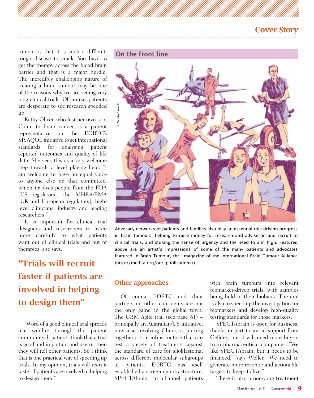tumour is that it is such a difficult, tough disease to crack. You have to get the therapy across the blood brain barrier and that is a major hurdle. The incredibly challenging nature of treating a brain tumour may be one of the reasons why we are seeing very long clinical trials. Of course, patients are desperate to see research speeded up."

Kathy Oliver, who lost her own son, Colin, to brain cancer, is a patient representative on the EORTC's SISAQOL initiative to set international standards for analysing patient reported outcomes and quality of life data. She sees this as a very welcome step towards a level playing field. "I am welcome to have an equal voice to anyone else on that committee, which involves people from the FDA [US regulators], the MHRA/EMA [UK and European regulators], highlevel clinicians, industry and leading researchers."

It is important for clinical trial designers and researchers to listen more carefully to what patients want out of clinical trials and out of therapies, she says.

# "Trials will recruit faster if patients are involved in helping to design them"

"Word of a good clinical trial spreads like wildfire through the patient community. If patients think that a trial is good and important and useful, then they will tell other patients. So I think that is one practical way of speeding up trials. In my opinion, trials will recruit faster if patients are involved in helping to design them."



Advocacy networks of patients and families also play an essential role driving progress in brain tumours, helping to raise money for research and advise on and recruit to clinical trials, and stoking the sense of urgency and the need to aim high. Featured above are an artist's impressions of some of the many patients and advocates featured in Brain Tumour, the magazine of the International Brain Tumour Alliance (http://theibta.org/our-publications/)

#### Other approaches

Of course EORTC and their partners on other continents are not the only game in the global town. The GBM Agile trial (see page 61) – principally an Australian/US initiative, now also involving China, is putting together a trial infrastructure that can test a variety of treatments against the standard of care for glioblastoma, across different molecular subgroups of patients. EORTC has itself established a screening infrastructure, SPECTAbrain, to channel patients

with brain tumours into relevant biomarker-driven trials, with samples being held in their biobank. The aim is also to speed up the investigation for biomarkers and develop high-quality testing standards for those markers.

SPECTAbrain is open for business, thanks in part to initial support from Celldex, but it will need more buy-in from pharmaceutical companies. "We like SPECTAbrain, but it needs to be financed," says Weller. "We need to generate more revenue and actionable targets to keep it alive."

There is also a non-drug treatment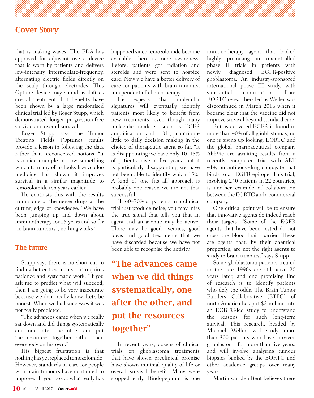that is making waves. The FDA has approved for adjuvant use a device that is worn by patients and delivers low-intensity, intermediate-frequency, alternating electric fields directly on the scalp through electrodes. This Optune device may sound as daft as crystal treatment, but benefits have been shown by a large randomised clinical trial led by Roger Stupp, which demonstrated longer progression-free survival and overall survival.

Roger Stupp says the Tumor Treating Fields (Optune) results provide a lesson in following the data rather than preconceived notions. "It is a nice example of how something which to many of us looks like voodoo medicine has shown it improves survival in a similar magnitude to temozolomide ten years earlier."

He contrasts this with the results from some of the newer drugs at the cutting edge of knowledge. "We have been jumping up and down about immunotherapy for 25 years and so far [in brain tumours], nothing works."

#### The future

Stupp says there is no short cut to finding better treatments – it requires patience and systematic work. "If you ask me to predict what will succeed, then I am going to be very inaccurate because we don't really know. Let's be honest. When we had successes it was not really predicted.

"The advances came when we really sat down and did things systematically and one after the other and put the resources together rather than everybody on his own."

His biggest frustration is that nothing has yet replaced temozolomide. However, standards of care for people with brain tumours have continued to improve. "If you look at what really has happened since temozolomide became available, there is more awareness. Before, patients got radiation and steroids and were sent to hospice care. Now we have a better delivery of care for patients with brain tumours, independent of chemotherapy."

He expects that molecular signatures will eventually identify patients most likely to benefit from new treatments, even though many molecular markers, such as EGFR amplification and IDH, contribute little to daily decision making in the choice of therapeutic agent so far. "It is disappointing we have only 10–15% of patients alive at five years, but it is particularly disappointing we have not been able to identify which 15%. A kind of 'one fits all' approach is probably one reason we are not that successful.

"If 60–70% of patients in a clinical trial just produce noise, you may miss the true signal that tells you that an agent and an avenue may be active. There may be good avenues, good ideas and good treatments that we have discarded because we have not been able to recognise the activity."

# "The advances came when we did things systematically, one after the other, and put the resources together"

In recent years, dozens of clinical trials on glioblastoma treatments that have shown preclinical promise have shown minimal quality of life or overall survival benefit. Many were stopped early. Rindopepimut is one immunotherapy agent that looked highly promising in uncontrolled phase II trials in patients with newly diagnosed EGFR-positive glioblastoma. An industry-sponsored international phase III study, with<br>substantial contributions from contributions EORTC researchers led by Weller, was discontinued in March 2016 when it became clear that the vaccine did not improve survival beyond standard care.

But as activated EGFR is found in more than 40% of all glioblastomas, no one is giving up looking. EORTC and the global pharmaceutical company AbbVie are awaiting results from a recently completed trial with ABT 414, an antibody-drug conjugate that binds to an EGFR epitope. This trial, involving 240 patients in 22 countries, is another example of collaboration between the EORTC and a commercial company.

One critical point will be to ensure that innovative agents do indeed reach their targets. "Some of the EGFR agents that have been tested do not cross the blood brain barrier. These are agents that, by their chemical properties, are not the right agents to study in brain tumours," says Stupp.

Some glioblastoma patients treated in the late 1990s are still alive 20 years later, and one promising line of research is to identify patients who defy the odds. The Brain Tumor Funders Collaborative (BTFC) of north America has put \$2 million into an EORTC-led study to understand the reasons for such long-term survival. This research, headed by Michael Weller, will study more than 300 patients who have survived glioblastoma for more than five years, and will involve analysing tumour biopsies banked by the EORTC and other academic groups over many years.

Martin van den Bent believes there